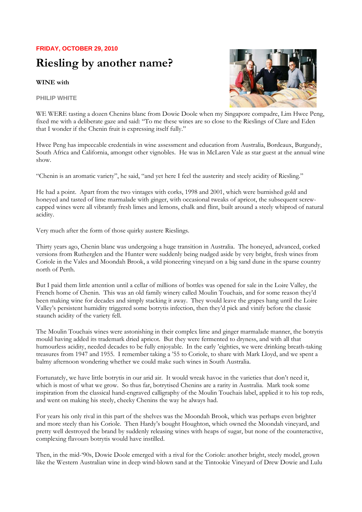## **FRIDAY, OCTOBER 29, 2010**

## **Riesling by another name?**

## **WINE with**

**PHILIP WHITE** 



WE WERE tasting a dozen Chenins blanc from Dowie Doole when my Singapore compadre, Lim Hwee Peng, fixed me with a deliberate gaze and said: "To me these wines are so close to the Rieslings of Clare and Eden that I wonder if the Chenin fruit is expressing itself fully."

Hwee Peng has impeccable credentials in wine assessment and education from Australia, Bordeaux, Burgundy, South Africa and California, amongst other vignobles. He was in McLaren Vale as star guest at the annual wine show.

"Chenin is an aromatic variety", he said, "and yet here I feel the austerity and steely acidity of Riesling."

He had a point. Apart from the two vintages with corks, 1998 and 2001, which were burnished gold and honeyed and tasted of lime marmalade with ginger, with occasional tweaks of apricot, the subsequent screwcapped wines were all vibrantly fresh limes and lemons, chalk and flint, built around a steely whiprod of natural acidity.

Very much after the form of those quirky austere Rieslings.

Thirty years ago, Chenin blanc was undergoing a huge transition in Australia. The honeyed, advanced, corked versions from Rutherglen and the Hunter were suddenly being nudged aside by very bright, fresh wines from Coriole in the Vales and Moondah Brook, a wild pioneering vineyard on a big sand dune in the sparse country north of Perth.

But I paid them little attention until a cellar of millions of bottles was opened for sale in the Loire Valley, the French home of Chenin. This was an old family winery called Moulin Touchais, and for some reason they'd been making wine for decades and simply stacking it away. They would leave the grapes hang until the Loire Valley's persistent humidity triggered some botrytis infection, then they'd pick and vinify before the classic staunch acidity of the variety fell.

The Moulin Touchais wines were astonishing in their complex lime and ginger marmalade manner, the botrytis mould having added its trademark dried apricot. But they were fermented to dryness, and with all that humourless acidity, needed decades to be fully enjoyable. In the early 'eighties, we were drinking breath-taking treasures from 1947 and 1955. I remember taking a '55 to Coriole, to share with Mark Lloyd, and we spent a balmy afternoon wondering whether we could make such wines in South Australia.

Fortunately, we have little botrytis in our arid air. It would wreak havoc in the varieties that don't need it, which is most of what we grow. So thus far, botrytised Chenins are a rarity in Australia. Mark took some inspiration from the classical hand-engraved calligraphy of the Moulin Touchais label, applied it to his top reds, and went on making his steely, cheeky Chenins the way he always had.

For years his only rival in this part of the shelves was the Moondah Brook, which was perhaps even brighter and more steely than his Coriole. Then Hardy's bought Houghton, which owned the Moondah vineyard, and pretty well destroyed the brand by suddenly releasing wines with heaps of sugar, but none of the counteractive, complexing flavours botrytis would have instilled.

Then, in the mid-'90s, Dowie Doole emerged with a rival for the Coriole: another bright, steely model, grown like the Western Australian wine in deep wind-blown sand at the Tintookie Vineyard of Drew Dowie and Lulu